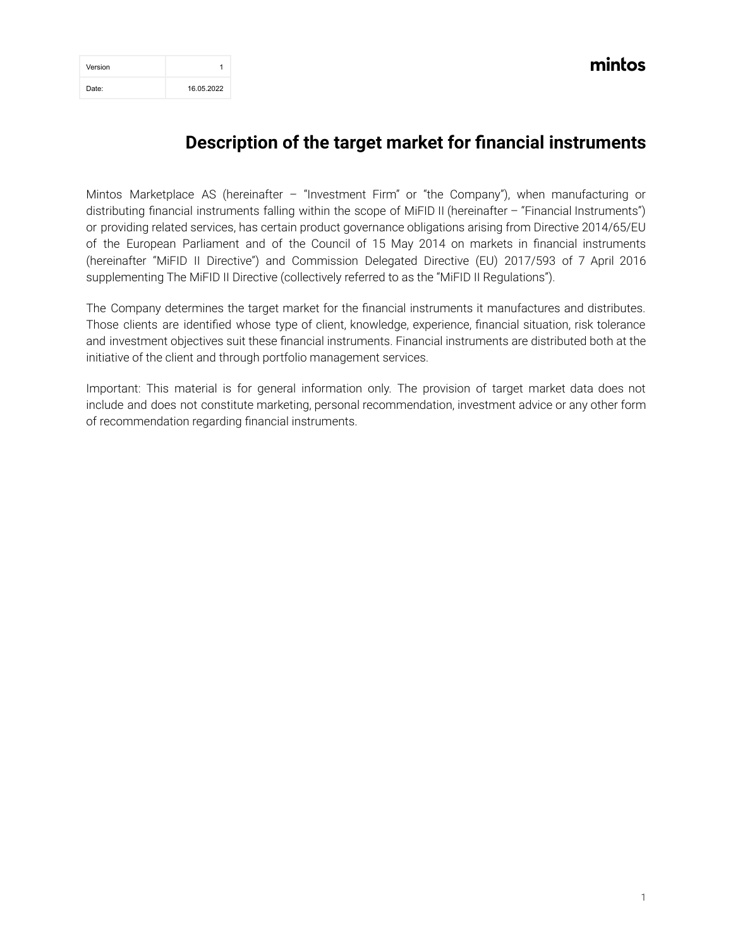| Version |            |
|---------|------------|
| Date:   | 16.05.2022 |

mintos

## **Description of the target market for financial instruments**

Mintos Marketplace AS (hereinafter – "Investment Firm" or "the Company"), when manufacturing or distributing financial instruments falling within the scope of MiFID II (hereinafter – "Financial Instruments") or providing related services, has certain product governance obligations arising from Directive 2014/65/EU of the European Parliament and of the Council of 15 May 2014 on markets in financial instruments (hereinafter "MiFID II Directive") and Commission Delegated Directive (EU) 2017/593 of 7 April 2016 supplementing The MiFID II Directive (collectively referred to as the "MiFID II Regulations").

The Company determines the target market for the financial instruments it manufactures and distributes. Those clients are identified whose type of client, knowledge, experience, financial situation, risk tolerance and investment objectives suit these financial instruments. Financial instruments are distributed both at the initiative of the client and through portfolio management services.

Important: This material is for general information only. The provision of target market data does not include and does not constitute marketing, personal recommendation, investment advice or any other form of recommendation regarding financial instruments.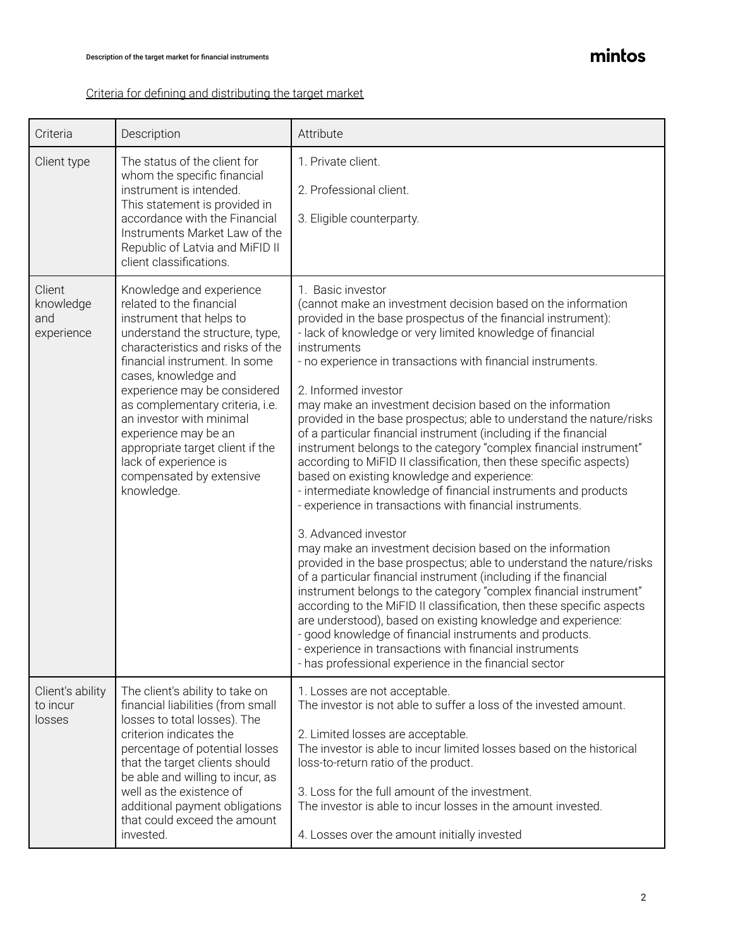## mintos

## Criteria for defining and distributing the target market

| Criteria                                 | Description                                                                                                                                                                                                                                                                                                                                                                                                                                    | Attribute                                                                                                                                                                                                                                                                                                                                                                                                                                                                                                                                                                                                                                                                                                                                                                                                                                                                                                                                                                                                                                                                                                                                                                                                                                                                                                                                                                                                                                                                           |
|------------------------------------------|------------------------------------------------------------------------------------------------------------------------------------------------------------------------------------------------------------------------------------------------------------------------------------------------------------------------------------------------------------------------------------------------------------------------------------------------|-------------------------------------------------------------------------------------------------------------------------------------------------------------------------------------------------------------------------------------------------------------------------------------------------------------------------------------------------------------------------------------------------------------------------------------------------------------------------------------------------------------------------------------------------------------------------------------------------------------------------------------------------------------------------------------------------------------------------------------------------------------------------------------------------------------------------------------------------------------------------------------------------------------------------------------------------------------------------------------------------------------------------------------------------------------------------------------------------------------------------------------------------------------------------------------------------------------------------------------------------------------------------------------------------------------------------------------------------------------------------------------------------------------------------------------------------------------------------------------|
| Client type                              | The status of the client for<br>whom the specific financial<br>instrument is intended.<br>This statement is provided in<br>accordance with the Financial<br>Instruments Market Law of the<br>Republic of Latvia and MiFID II<br>client classifications.                                                                                                                                                                                        | 1. Private client.<br>2. Professional client.<br>3. Eligible counterparty.                                                                                                                                                                                                                                                                                                                                                                                                                                                                                                                                                                                                                                                                                                                                                                                                                                                                                                                                                                                                                                                                                                                                                                                                                                                                                                                                                                                                          |
| Client<br>knowledge<br>and<br>experience | Knowledge and experience<br>related to the financial<br>instrument that helps to<br>understand the structure, type,<br>characteristics and risks of the<br>financial instrument. In some<br>cases, knowledge and<br>experience may be considered<br>as complementary criteria, i.e.<br>an investor with minimal<br>experience may be an<br>appropriate target client if the<br>lack of experience is<br>compensated by extensive<br>knowledge. | 1. Basic investor<br>(cannot make an investment decision based on the information<br>provided in the base prospectus of the financial instrument):<br>- lack of knowledge or very limited knowledge of financial<br>instruments<br>- no experience in transactions with financial instruments.<br>2. Informed investor<br>may make an investment decision based on the information<br>provided in the base prospectus; able to understand the nature/risks<br>of a particular financial instrument (including if the financial<br>instrument belongs to the category "complex financial instrument"<br>according to MiFID II classification, then these specific aspects)<br>based on existing knowledge and experience:<br>- intermediate knowledge of financial instruments and products<br>- experience in transactions with financial instruments.<br>3. Advanced investor<br>may make an investment decision based on the information<br>provided in the base prospectus; able to understand the nature/risks<br>of a particular financial instrument (including if the financial<br>instrument belongs to the category "complex financial instrument"<br>according to the MiFID II classification, then these specific aspects<br>are understood), based on existing knowledge and experience:<br>- good knowledge of financial instruments and products.<br>- experience in transactions with financial instruments<br>- has professional experience in the financial sector |
| Client's ability<br>to incur<br>losses   | The client's ability to take on<br>financial liabilities (from small<br>losses to total losses). The<br>criterion indicates the<br>percentage of potential losses<br>that the target clients should<br>be able and willing to incur, as<br>well as the existence of<br>additional payment obligations<br>that could exceed the amount<br>invested.                                                                                             | 1. Losses are not acceptable.<br>The investor is not able to suffer a loss of the invested amount.<br>2. Limited losses are acceptable.<br>The investor is able to incur limited losses based on the historical<br>loss-to-return ratio of the product.<br>3. Loss for the full amount of the investment.<br>The investor is able to incur losses in the amount invested.<br>4. Losses over the amount initially invested                                                                                                                                                                                                                                                                                                                                                                                                                                                                                                                                                                                                                                                                                                                                                                                                                                                                                                                                                                                                                                                           |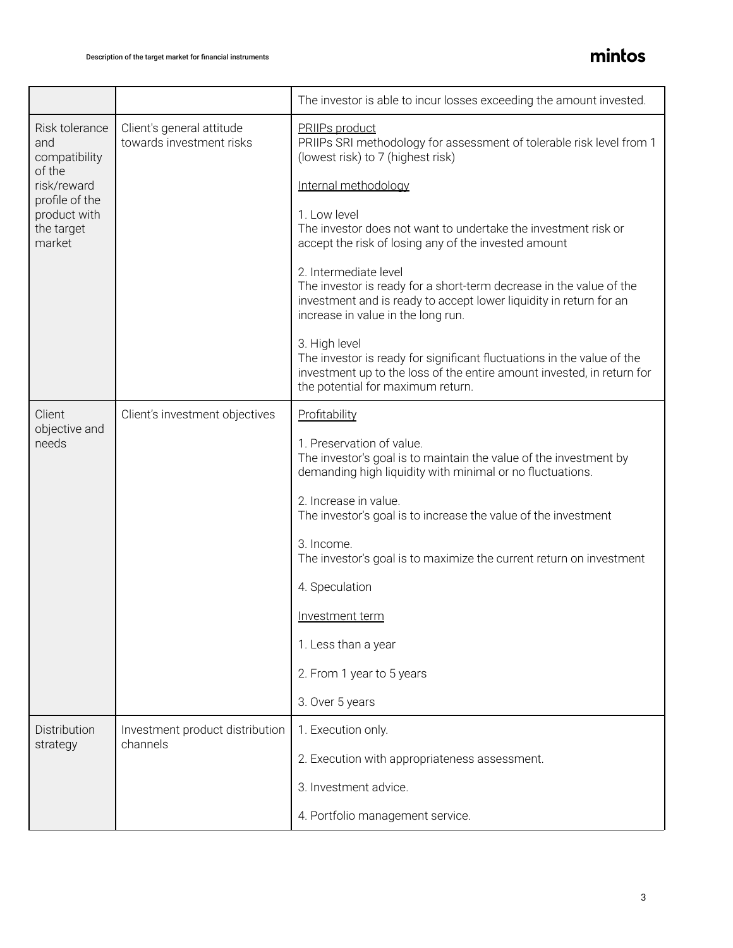|                                                                                                                           |                                                       | The investor is able to incur losses exceeding the amount invested.                                                                                                                                      |  |
|---------------------------------------------------------------------------------------------------------------------------|-------------------------------------------------------|----------------------------------------------------------------------------------------------------------------------------------------------------------------------------------------------------------|--|
| Risk tolerance<br>and<br>compatibility<br>of the<br>risk/reward<br>profile of the<br>product with<br>the target<br>market | Client's general attitude<br>towards investment risks | PRIIPs product<br>PRIIPs SRI methodology for assessment of tolerable risk level from 1<br>(lowest risk) to 7 (highest risk)                                                                              |  |
|                                                                                                                           |                                                       | Internal methodology                                                                                                                                                                                     |  |
|                                                                                                                           |                                                       | 1. Low level<br>The investor does not want to undertake the investment risk or<br>accept the risk of losing any of the invested amount                                                                   |  |
|                                                                                                                           |                                                       | 2. Intermediate level<br>The investor is ready for a short-term decrease in the value of the<br>investment and is ready to accept lower liquidity in return for an<br>increase in value in the long run. |  |
|                                                                                                                           |                                                       | 3. High level<br>The investor is ready for significant fluctuations in the value of the<br>investment up to the loss of the entire amount invested, in return for<br>the potential for maximum return.   |  |
| Client<br>objective and<br>needs                                                                                          | Client's investment objectives                        | Profitability                                                                                                                                                                                            |  |
|                                                                                                                           |                                                       | 1. Preservation of value.<br>The investor's goal is to maintain the value of the investment by<br>demanding high liquidity with minimal or no fluctuations.                                              |  |
|                                                                                                                           |                                                       | 2. Increase in value.<br>The investor's goal is to increase the value of the investment                                                                                                                  |  |
|                                                                                                                           |                                                       | 3. Income.<br>The investor's goal is to maximize the current return on investment                                                                                                                        |  |
|                                                                                                                           |                                                       | 4. Speculation                                                                                                                                                                                           |  |
|                                                                                                                           |                                                       | Investment term                                                                                                                                                                                          |  |
|                                                                                                                           |                                                       | 1. Less than a year                                                                                                                                                                                      |  |
|                                                                                                                           |                                                       | 2. From 1 year to 5 years                                                                                                                                                                                |  |
|                                                                                                                           |                                                       | 3. Over 5 years                                                                                                                                                                                          |  |
| Distribution<br>strategy                                                                                                  | Investment product distribution<br>channels           | 1. Execution only.                                                                                                                                                                                       |  |
|                                                                                                                           |                                                       | 2. Execution with appropriateness assessment.                                                                                                                                                            |  |
|                                                                                                                           |                                                       | 3. Investment advice.                                                                                                                                                                                    |  |
|                                                                                                                           |                                                       | 4. Portfolio management service.                                                                                                                                                                         |  |